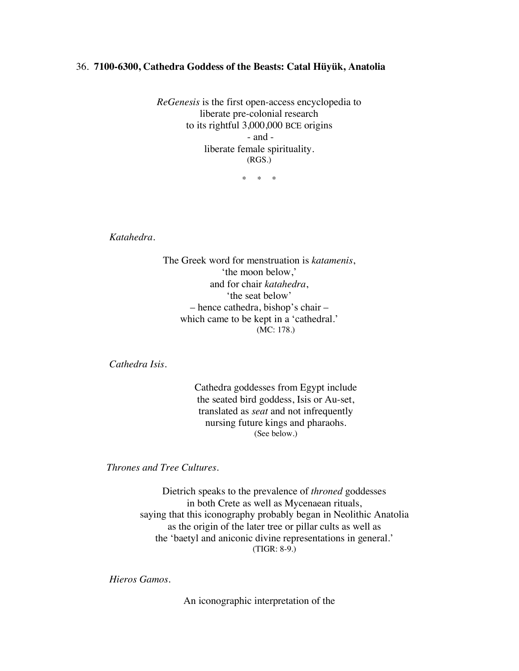## 36. **7100-6300, Cathedra Goddess of the Beasts: Catal Hüyük, Anatolia**

*ReGenesis* is the first open-access encyclopedia to liberate pre-colonial research to its rightful 3,000,000 BCE origins - and liberate female spirituality. (RGS.)

\* \* \*

*Katahedra.*

The Greek word for menstruation is *katamenis*, 'the moon below,' and for chair *katahedra*, 'the seat below' – hence cathedra, bishop's chair – which came to be kept in a 'cathedral.' (MC: 178.)

*Cathedra Isis.*

Cathedra goddesses from Egypt include the seated bird goddess, Isis or Au-set, translated as *seat* and not infrequently nursing future kings and pharaohs. (See below.)

*Thrones and Tree Cultures.*

Dietrich speaks to the prevalence of *throned* goddesses in both Crete as well as Mycenaean rituals, saying that this iconography probably began in Neolithic Anatolia as the origin of the later tree or pillar cults as well as the 'baetyl and aniconic divine representations in general.' (TIGR: 8-9.)

*Hieros Gamos.*

An iconographic interpretation of the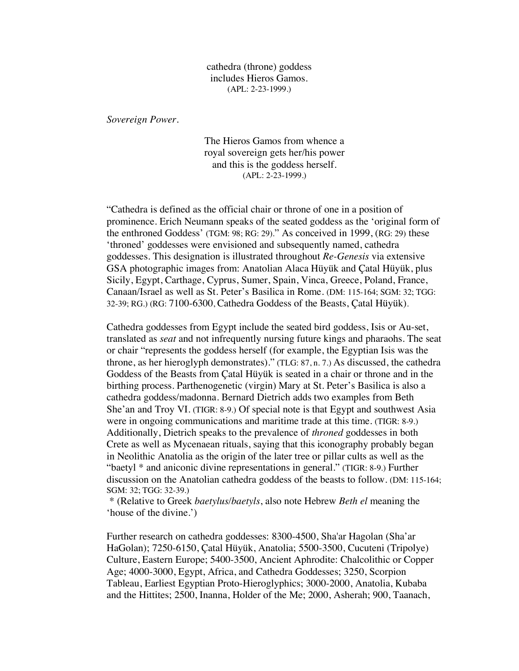cathedra (throne) goddess includes Hieros Gamos. (APL: 2-23-1999.)

*Sovereign Power.*

The Hieros Gamos from whence a royal sovereign gets her/his power and this is the goddess herself. (APL: 2-23-1999.)

"Cathedra is defined as the official chair or throne of one in a position of prominence. Erich Neumann speaks of the seated goddess as the 'original form of the enthroned Goddess' (TGM: 98; RG: 29)." As conceived in 1999, (RG: 29) these 'throned' goddesses were envisioned and subsequently named, cathedra goddesses. This designation is illustrated throughout *Re-Genesis* via extensive GSA photographic images from: Anatolian Alaca Hüyük and Çatal Hüyük, plus Sicily, Egypt, Carthage, Cyprus, Sumer, Spain, Vinca, Greece, Poland, France, Canaan/Israel as well as St. Peter's Basilica in Rome. (DM: 115-164; SGM: 32; TGG: 32-39; RG.) (RG: 7100-6300, Cathedra Goddess of the Beasts, Çatal Hüyük).

Cathedra goddesses from Egypt include the seated bird goddess, Isis or Au-set, translated as *seat* and not infrequently nursing future kings and pharaohs. The seat or chair "represents the goddess herself (for example, the Egyptian Isis was the throne, as her hieroglyph demonstrates)." (TLG: 87, n. 7.) As discussed, the cathedra Goddess of the Beasts from Çatal Hüyük is seated in a chair or throne and in the birthing process. Parthenogenetic (virgin) Mary at St. Peter's Basilica is also a cathedra goddess/madonna. Bernard Dietrich adds two examples from Beth She'an and Troy VI. (TIGR: 8-9.) Of special note is that Egypt and southwest Asia were in ongoing communications and maritime trade at this time. (TIGR: 8-9.) Additionally, Dietrich speaks to the prevalence of *throned* goddesses in both Crete as well as Mycenaean rituals, saying that this iconography probably began in Neolithic Anatolia as the origin of the later tree or pillar cults as well as the "baetyl \* and aniconic divine representations in general." (TIGR: 8-9.) Further discussion on the Anatolian cathedra goddess of the beasts to follow. (DM: 115-164; SGM: 32; TGG: 32-39.)

\* (Relative to Greek *baetylus/baetyls*, also note Hebrew *Beth el* meaning the 'house of the divine.')

Further research on cathedra goddesses: 8300-4500, Sha'ar Hagolan (Sha'ar HaGolan); 7250-6150, Çatal Hüyük, Anatolia; 5500-3500, Cucuteni (Tripolye) Culture, Eastern Europe; 5400-3500, Ancient Aphrodite: Chalcolithic or Copper Age; 4000-3000, Egypt, Africa, and Cathedra Goddesses; 3250, Scorpion Tableau, Earliest Egyptian Proto-Hieroglyphics; 3000-2000, Anatolia, Kubaba and the Hittites; 2500, Inanna, Holder of the Me; 2000, Asherah; 900, Taanach,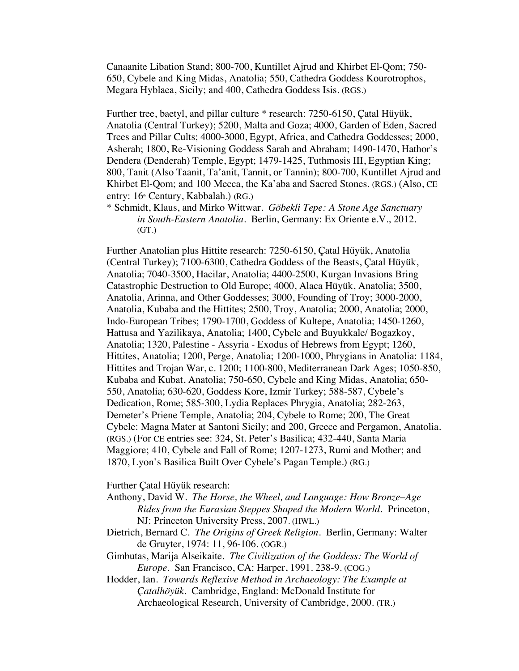Canaanite Libation Stand; 800-700, Kuntillet Ajrud and Khirbet El-Qom; 750- 650, Cybele and King Midas, Anatolia; 550, Cathedra Goddess Kourotrophos, Megara Hyblaea, Sicily; and 400, Cathedra Goddess Isis. (RGS.)

Further tree, baetyl, and pillar culture \* research: 7250-6150, Çatal Hüyük, Anatolia (Central Turkey); 5200, Malta and Goza; 4000, Garden of Eden, Sacred Trees and Pillar Cults; 4000-3000, Egypt, Africa, and Cathedra Goddesses; 2000, Asherah; 1800, Re-Visioning Goddess Sarah and Abraham; 1490-1470, Hathor's Dendera (Denderah) Temple, Egypt; 1479-1425, Tuthmosis III, Egyptian King; 800, Tanit (Also Taanit, Ta'anit, Tannit, or Tannin); 800-700, Kuntillet Ajrud and Khirbet El-Qom; and 100 Mecca, the Ka'aba and Sacred Stones. (RGS.) (Also, CE entry: 16<sup>th</sup> Century, Kabbalah.) (RG.)

\* Schmidt, Klaus, and Mirko Wittwar. *Göbekli Tepe: A Stone Age Sanctuary in South-Eastern Anatolia*. Berlin, Germany: Ex Oriente e.V., 2012. (GT.)

Further Anatolian plus Hittite research: 7250-6150, Çatal Hüyük, Anatolia (Central Turkey); 7100-6300, Cathedra Goddess of the Beasts, Çatal Hüyük, Anatolia; 7040-3500, Hacilar, Anatolia; 4400-2500, Kurgan Invasions Bring Catastrophic Destruction to Old Europe; 4000, Alaca Hüyük, Anatolia; 3500, Anatolia, Arinna, and Other Goddesses; 3000, Founding of Troy; 3000-2000, Anatolia, Kubaba and the Hittites; 2500, Troy, Anatolia; 2000, Anatolia; 2000, Indo-European Tribes; 1790-1700, Goddess of Kultepe, Anatolia; 1450-1260, Hattusa and Yazilikaya, Anatolia; 1400, Cybele and Buyukkale/ Bogazkoy, Anatolia; 1320, Palestine - Assyria - Exodus of Hebrews from Egypt; 1260, Hittites, Anatolia; 1200, Perge, Anatolia; 1200-1000, Phrygians in Anatolia: 1184, Hittites and Trojan War, c. 1200; 1100-800, Mediterranean Dark Ages; 1050-850, Kubaba and Kubat, Anatolia; 750-650, Cybele and King Midas, Anatolia; 650- 550, Anatolia; 630-620, Goddess Kore, Izmir Turkey; 588-587, Cybele's Dedication, Rome; 585-300, Lydia Replaces Phrygia, Anatolia; 282-263, Demeter's Priene Temple, Anatolia; 204, Cybele to Rome; 200, The Great Cybele: Magna Mater at Santoni Sicily; and 200, Greece and Pergamon, Anatolia. (RGS.) (For CE entries see: 324, St. Peter's Basilica; 432-440, Santa Maria Maggiore; 410, Cybele and Fall of Rome; 1207-1273, Rumi and Mother; and 1870, Lyon's Basilica Built Over Cybele's Pagan Temple.) (RG.)

Further Çatal Hüyük research:

- Anthony, David W. *The Horse, the Wheel, and Language: How Bronze*–*Age Rides from the Eurasian Steppes Shaped the Modern World*. Princeton, NJ: Princeton University Press, 2007. (HWL.)
- Dietrich, Bernard C. *The Origins of Greek Religion.* Berlin, Germany: Walter de Gruyter, 1974: 11, 96-106. (OGR.)
- Gimbutas, Marija Alseikaite. *The Civilization of the Goddess: The World of Europe*. San Francisco, CA: Harper, 1991. 238-9. (COG.)
- Hodder, Ian. *Towards Reflexive Method in Archaeology: The Example at Çatalhöyük*. Cambridge, England: McDonald Institute for Archaeological Research, University of Cambridge, 2000. (TR.)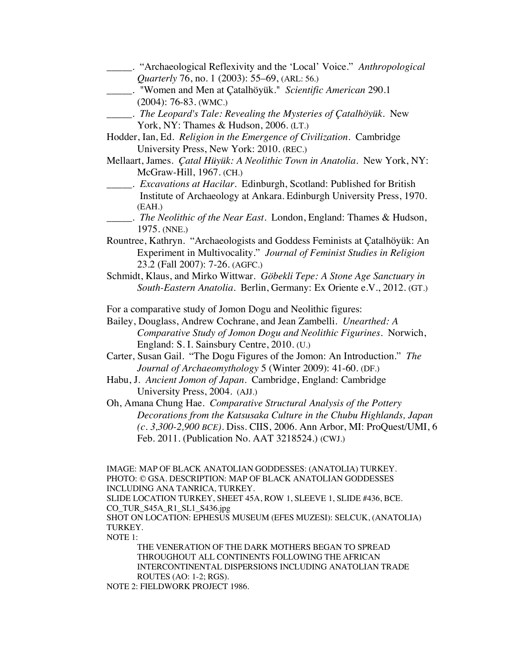\_\_\_\_\_. "Archaeological Reflexivity and the 'Local' Voice." *Anthropological Quarterly* 76, no. 1 (2003): 55–69, (ARL: 56.) \_\_\_\_\_. "Women and Men at Çatalhöyük." *Scientific American* 290.1 (2004): 76-83. (WMC.) \_\_\_\_\_. *The Leopard's Tale: Revealing the Mysteries of Çatalhöyük*. New York, NY: Thames & Hudson, 2006. (LT.) Hodder, Ian, Ed. *Religion in the Emergence of Civilization*. Cambridge University Press, New York: 2010. (REC.) Mellaart, James. *Çatal Hüyük: A Neolithic Town in Anatolia*. New York, NY: McGraw-Hill, 1967. (CH.) \_\_\_\_\_. *Excavations at Hacilar*. Edinburgh, Scotland: Published for British Institute of Archaeology at Ankara. Edinburgh University Press, 1970. (EAH.) \_\_\_\_\_. *The Neolithic of the Near East.* London, England: Thames & Hudson, 1975. (NNE.) Rountree, Kathryn. "Archaeologists and Goddess Feminists at Çatalhöyük: An Experiment in Multivocality." *Journal of Feminist Studies in Religion* 23.2 (Fall 2007): 7-26. (AGFC.) Schmidt, Klaus, and Mirko Wittwar. *Göbekli Tepe: A Stone Age Sanctuary in South-Eastern Anatolia*. Berlin, Germany: Ex Oriente e.V., 2012. (GT.) For a comparative study of Jomon Dogu and Neolithic figures: Bailey, Douglass, Andrew Cochrane, and Jean Zambelli. *Unearthed: A Comparative Study of Jomon Dogu and Neolithic Figurines*. Norwich, England: S. I. Sainsbury Centre, 2010. (U.) Carter, Susan Gail. "The Dogu Figures of the Jomon: An Introduction." *The Journal of Archaeomythology* 5 (Winter 2009): 41-60. (DF.) Habu, J. *Ancient Jomon of Japan*. Cambridge, England: Cambridge University Press, 2004. (AJJ.) Oh, Amana Chung Hae. *Comparative Structural Analysis of the Pottery Decorations from the Katsusaka Culture in the Chubu Highlands, Japan (c. 3,300-2,900 BCE)*. Diss. CIIS, 2006. Ann Arbor, MI: ProQuest/UMI, 6 Feb. 2011. (Publication No. AAT 3218524.) (CWJ.) IMAGE: MAP OF BLACK ANATOLIAN GODDESSES: (ANATOLIA) TURKEY. PHOTO: © GSA. DESCRIPTION: MAP OF BLACK ANATOLIAN GODDESSES INCLUDING ANA TANRICA, TURKEY.

SLIDE LOCATION TURKEY, SHEET 45A, ROW 1, SLEEVE 1, SLIDE #436, BCE. CO\_TUR\_S45A\_R1\_SL1\_S436.jpg

SHOT ON LOCATION: EPHESUS MUSEUM (EFES MUZESI): SELCUK, (ANATOLIA) TURKEY.

NOTE 1:

THE VENERATION OF THE DARK MOTHERS BEGAN TO SPREAD THROUGHOUT ALL CONTINENTS FOLLOWING THE AFRICAN INTERCONTINENTAL DISPERSIONS INCLUDING ANATOLIAN TRADE ROUTES (AO: 1-2; RGS).

NOTE 2: FIELDWORK PROJECT 1986.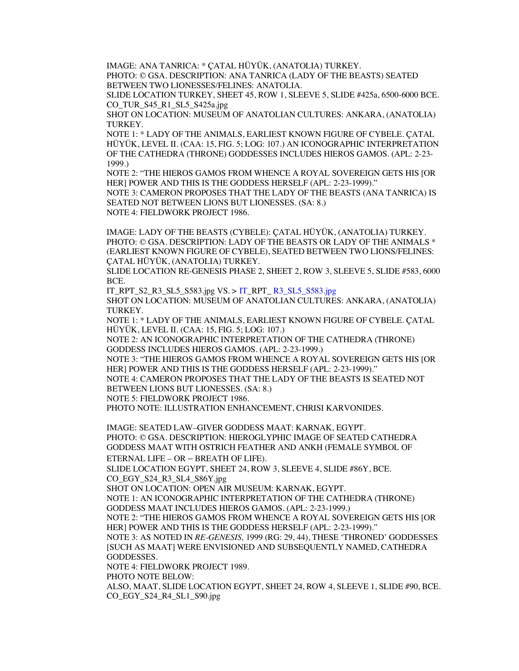IMAGE: ANA TANRICA: \* ÇATAL HÜYÜK, (ANATOLIA) TURKEY.

PHOTO: © GSA. DESCRIPTION: ANA TANRICA (LADY OF THE BEASTS) SEATED BETWEEN TWO LIONESSES/FELINES: ANATOLIA.

SLIDE LOCATION TURKEY, SHEET 45, ROW 1, SLEEVE 5, SLIDE #425a, 6500-6000 BCE. CO\_TUR\_S45\_R1\_SL5\_S425a.jpg

SHOT ON LOCATION: MUSEUM OF ANATOLIAN CULTURES: ANKARA, (ANATOLIA) TURKEY.

NOTE 1: \* LADY OF THE ANIMALS, EARLIEST KNOWN FIGURE OF CYBELE. ÇATAL HÜYÜK, LEVEL II. (CAA: 15, FIG. 5; LOG: 107.) AN ICONOGRAPHIC INTERPRETATION OF THE CATHEDRA (THRONE) GODDESSES INCLUDES HIEROS GAMOS. (APL: 2-23- 1999.)

NOTE 2: "THE HIEROS GAMOS FROM WHENCE A ROYAL SOVEREIGN GETS HIS [OR HER] POWER AND THIS IS THE GODDESS HERSELF (APL: 2-23-1999)." NOTE 3: CAMERON PROPOSES THAT THE LADY OF THE BEASTS (ANA TANRICA) IS SEATED NOT BETWEEN LIONS BUT LIONESSES. (SA: 8.)

NOTE 4: FIELDWORK PROJECT 1986.

IMAGE: LADY OF THE BEASTS (CYBELE): ÇATAL HÜYÜK, (ANATOLIA) TURKEY. PHOTO: © GSA. DESCRIPTION: LADY OF THE BEASTS OR LADY OF THE ANIMALS \* (EARLIEST KNOWN FIGURE OF CYBELE), SEATED BETWEEN TWO LIONS/FELINES: ÇATAL HÜYÜK, (ANATOLIA) TURKEY.

SLIDE LOCATION RE-GENESIS PHASE 2, SHEET 2, ROW 3, SLEEVE 5, SLIDE #583, 6000 BCE.

IT\_RPT\_S2\_R3\_SL5\_S583.jpg VS. > IT\_RPT\_ R3\_SL5\_S583.jpg

SHOT ON LOCATION: MUSEUM OF ANATOLIAN CULTURES: ANKARA, (ANATOLIA) TURKEY.

NOTE 1: \* LADY OF THE ANIMALS, EARLIEST KNOWN FIGURE OF CYBELE. ÇATAL HÜYÜK, LEVEL II. (CAA: 15, FIG. 5; LOG: 107.)

NOTE 2: AN ICONOGRAPHIC INTERPRETATION OF THE CATHEDRA (THRONE) GODDESS INCLUDES HIEROS GAMOS. (APL: 2-23-1999.)

NOTE 3: "THE HIEROS GAMOS FROM WHENCE A ROYAL SOVEREIGN GETS HIS [OR HER] POWER AND THIS IS THE GODDESS HERSELF (APL: 2-23-1999)."

NOTE 4: CAMERON PROPOSES THAT THE LADY OF THE BEASTS IS SEATED NOT BETWEEN LIONS BUT LIONESSES. (SA: 8.)

NOTE 5: FIELDWORK PROJECT 1986.

PHOTO NOTE: ILLUSTRATION ENHANCEMENT, CHRISI KARVONIDES.

IMAGE: SEATED LAW–GIVER GODDESS MAAT: KARNAK, EGYPT. PHOTO: © GSA. DESCRIPTION: HIEROGLYPHIC IMAGE OF SEATED CATHEDRA GODDESS MAAT WITH OSTRICH FEATHER AND ANKH (FEMALE SYMBOL OF ETERNAL LIFE – OR – BREATH OF LIFE).

SLIDE LOCATION EGYPT, SHEET 24, ROW 3, SLEEVE 4, SLIDE #86Y, BCE. CO\_EGY\_S24\_R3\_SL4\_S86Y.jpg

SHOT ON LOCATION: OPEN AIR MUSEUM: KARNAK, EGYPT.

NOTE 1: AN ICONOGRAPHIC INTERPRETATION OF THE CATHEDRA (THRONE) GODDESS MAAT INCLUDES HIEROS GAMOS. (APL: 2-23-1999.)

NOTE 2: "THE HIEROS GAMOS FROM WHENCE A ROYAL SOVEREIGN GETS HIS [OR HER] POWER AND THIS IS THE GODDESS HERSELF (APL: 2-23-1999)."

NOTE 3: AS NOTED IN *RE-GENESIS,* 1999 (RG: 29, 44), THESE 'THRONED' GODDESSES [SUCH AS MAAT] WERE ENVISIONED AND SUBSEQUENTLY NAMED, CATHEDRA GODDESSES.

NOTE 4: FIELDWORK PROJECT 1989.

PHOTO NOTE BELOW:

ALSO, MAAT, SLIDE LOCATION EGYPT, SHEET 24, ROW 4, SLEEVE 1, SLIDE #90, BCE. CO\_EGY\_S24\_R4\_SL1\_S90.jpg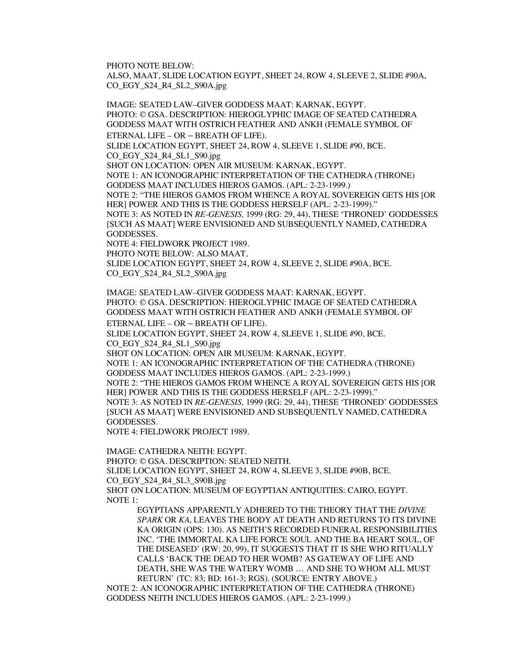PHOTO NOTE BELOW:

ALSO, MAAT, SLIDE LOCATION EGYPT, SHEET 24, ROW 4, SLEEVE 2, SLIDE #90A, CO\_EGY\_S24\_R4\_SL2\_S90A.jpg

IMAGE: SEATED LAW–GIVER GODDESS MAAT: KARNAK, EGYPT. PHOTO: © GSA. DESCRIPTION: HIEROGLYPHIC IMAGE OF SEATED CATHEDRA GODDESS MAAT WITH OSTRICH FEATHER AND ANKH (FEMALE SYMBOL OF ETERNAL LIFE – OR – BREATH OF LIFE). SLIDE LOCATION EGYPT, SHEET 24, ROW 4, SLEEVE 1, SLIDE #90, BCE. CO\_EGY\_S24\_R4\_SL1\_S90.jpg SHOT ON LOCATION: OPEN AIR MUSEUM: KARNAK, EGYPT. NOTE 1: AN ICONOGRAPHIC INTERPRETATION OF THE CATHEDRA (THRONE) GODDESS MAAT INCLUDES HIEROS GAMOS. (APL: 2-23-1999.) NOTE 2: "THE HIEROS GAMOS FROM WHENCE A ROYAL SOVEREIGN GETS HIS [OR HER] POWER AND THIS IS THE GODDESS HERSELF (APL: 2-23-1999)." NOTE 3: AS NOTED IN *RE-GENESIS,* 1999 (RG: 29, 44), THESE 'THRONED' GODDESSES [SUCH AS MAAT] WERE ENVISIONED AND SUBSEQUENTLY NAMED, CATHEDRA GODDESSES. NOTE 4: FIELDWORK PROJECT 1989. PHOTO NOTE BELOW: ALSO MAAT,

SLIDE LOCATION EGYPT, SHEET 24, ROW 4, SLEEVE 2, SLIDE #90A, BCE. CO\_EGY\_S24\_R4\_SL2\_S90A.jpg

IMAGE: SEATED LAW–GIVER GODDESS MAAT: KARNAK, EGYPT. PHOTO: © GSA. DESCRIPTION: HIEROGLYPHIC IMAGE OF SEATED CATHEDRA GODDESS MAAT WITH OSTRICH FEATHER AND ANKH (FEMALE SYMBOL OF ETERNAL LIFE – OR – BREATH OF LIFE).

SLIDE LOCATION EGYPT, SHEET 24, ROW 4, SLEEVE 1, SLIDE #90, BCE. CO\_EGY\_S24\_R4\_SL1\_S90.jpg

SHOT ON LOCATION: OPEN AIR MUSEUM: KARNAK, EGYPT.

NOTE 1: AN ICONOGRAPHIC INTERPRETATION OF THE CATHEDRA (THRONE) GODDESS MAAT INCLUDES HIEROS GAMOS. (APL: 2-23-1999.)

NOTE 2: "THE HIEROS GAMOS FROM WHENCE A ROYAL SOVEREIGN GETS HIS [OR HER] POWER AND THIS IS THE GODDESS HERSELF (APL: 2-23-1999)."

NOTE 3: AS NOTED IN *RE-GENESIS,* 1999 (RG: 29, 44), THESE 'THRONED' GODDESSES [SUCH AS MAAT] WERE ENVISIONED AND SUBSEQUENTLY NAMED, CATHEDRA GODDESSES.

NOTE 4: FIELDWORK PROJECT 1989.

IMAGE: CATHEDRA NEITH: EGYPT. PHOTO: © GSA. DESCRIPTION: SEATED NEITH. SLIDE LOCATION EGYPT, SHEET 24, ROW 4, SLEEVE 3, SLIDE #90B, BCE. CO\_EGY\_S24\_R4\_SL3\_S90B.jpg SHOT ON LOCATION: MUSEUM OF EGYPTIAN ANTIQUITIES: CAIRO, EGYPT. NOTE 1:

EGYPTIANS APPARENTLY ADHERED TO THE THEORY THAT THE *DIVINE SPARK* OR *KA,* LEAVES THE BODY AT DEATH AND RETURNS TO ITS DIVINE KA ORIGIN (OPS: 130). AS NEITH'S RECORDED FUNERAL RESPONSIBILITIES INC. 'THE IMMORTAL KA LIFE FORCE SOUL AND THE BA HEART SOUL, OF THE DISEASED' (RW: 20, 99), IT SUGGESTS THAT IT IS SHE WHO RITUALLY CALLS 'BACK THE DEAD TO HER WOMB? AS GATEWAY OF LIFE AND DEATH, SHE WAS THE WATERY WOMB … AND SHE TO WHOM ALL MUST RETURN' (TC: 83; BD: 161-3; RGS). (SOURCE: ENTRY ABOVE.)

NOTE 2: AN ICONOGRAPHIC INTERPRETATION OF THE CATHEDRA (THRONE) GODDESS NEITH INCLUDES HIEROS GAMOS. (APL: 2-23-1999.)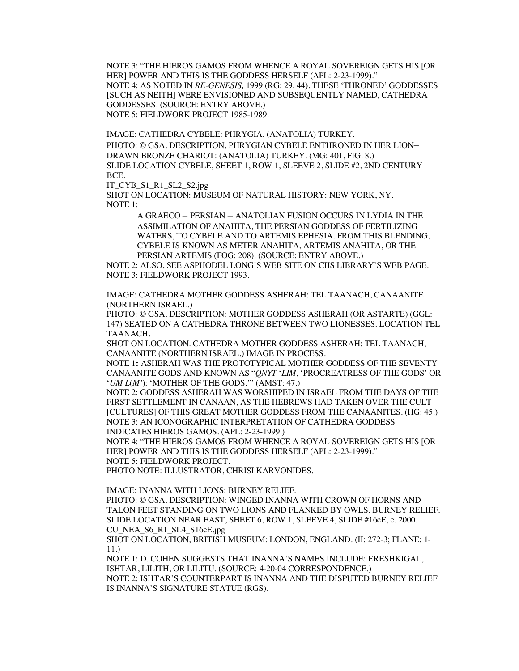NOTE 3: "THE HIEROS GAMOS FROM WHENCE A ROYAL SOVEREIGN GETS HIS [OR HER] POWER AND THIS IS THE GODDESS HERSELF (APL: 2-23-1999)." NOTE 4: AS NOTED IN *RE-GENESIS,* 1999 (RG: 29, 44), THESE 'THRONED' GODDESSES [SUCH AS NEITH] WERE ENVISIONED AND SUBSEQUENTLY NAMED, CATHEDRA GODDESSES. (SOURCE: ENTRY ABOVE.) NOTE 5: FIELDWORK PROJECT 1985-1989.

IMAGE: CATHEDRA CYBELE: PHRYGIA, (ANATOLIA) TURKEY. PHOTO: © GSA. DESCRIPTION, PHRYGIAN CYBELE ENTHRONED IN HER LION– DRAWN BRONZE CHARIOT: (ANATOLIA) TURKEY. (MG: 401, FIG. 8.) SLIDE LOCATION CYBELE, SHEET 1, ROW 1, SLEEVE 2, SLIDE #2, 2ND CENTURY BCE.

IT\_CYB\_S1\_R1\_SL2\_S2.jpg

SHOT ON LOCATION: MUSEUM OF NATURAL HISTORY: NEW YORK, NY. NOTE 1:

> A GRAECO – PERSIAN – ANATOLIAN FUSION OCCURS IN LYDIA IN THE ASSIMILATION OF ANAHITA, THE PERSIAN GODDESS OF FERTILIZING WATERS, TO CYBELE AND TO ARTEMIS EPHESIA. FROM THIS BLENDING, CYBELE IS KNOWN AS METER ANAHITA, ARTEMIS ANAHITA, OR THE PERSIAN ARTEMIS (FOG: 208). (SOURCE: ENTRY ABOVE.)

NOTE 2: ALSO, SEE ASPHODEL LONG'S WEB SITE ON CIIS LIBRARY'S WEB PAGE. NOTE 3: FIELDWORK PROJECT 1993.

IMAGE: CATHEDRA MOTHER GODDESS ASHERAH: TEL TAANACH, CANAANITE (NORTHERN ISRAEL.)

PHOTO: © GSA. DESCRIPTION: MOTHER GODDESS ASHERAH (OR ASTARTE) (GGL: 147) SEATED ON A CATHEDRA THRONE BETWEEN TWO LIONESSES. LOCATION TEL TAANACH.

SHOT ON LOCATION. CATHEDRA MOTHER GODDESS ASHERAH: TEL TAANACH, CANAANITE (NORTHERN ISRAEL.) IMAGE IN PROCESS.

NOTE 1**:** ASHERAH WAS THE PROTOTYPICAL MOTHER GODDESS OF THE SEVENTY CANAANITE GODS AND KNOWN AS "*QNYT* '*LIM*, 'PROCREATRESS OF THE GODS' OR '*UM L*(*M'*): 'MOTHER OF THE GODS.'" (AMST: 47.)

NOTE 2: GODDESS ASHERAH WAS WORSHIPED IN ISRAEL FROM THE DAYS OF THE FIRST SETTLEMENT IN CANAAN, AS THE HEBREWS HAD TAKEN OVER THE CULT [CULTURES] OF THIS GREAT MOTHER GODDESS FROM THE CANAANITES. (HG: 45.) NOTE 3: AN ICONOGRAPHIC INTERPRETATION OF CATHEDRA GODDESS INDICATES HIEROS GAMOS. (APL: 2-23-1999.)

NOTE 4: "THE HIEROS GAMOS FROM WHENCE A ROYAL SOVEREIGN GETS HIS [OR HER] POWER AND THIS IS THE GODDESS HERSELF (APL: 2-23-1999)." NOTE 5: FIELDWORK PROJECT.

PHOTO NOTE: ILLUSTRATOR, CHRISI KARVONIDES.

IMAGE: INANNA WITH LIONS: BURNEY RELIEF.

PHOTO: © GSA. DESCRIPTION: WINGED INANNA WITH CROWN OF HORNS AND TALON FEET STANDING ON TWO LIONS AND FLANKED BY OWLS. BURNEY RELIEF. SLIDE LOCATION NEAR EAST, SHEET 6, ROW 1, SLEEVE 4, SLIDE #16cE, c. 2000. CU\_NEA\_S6\_R1\_SL4\_S16cE.jpg

SHOT ON LOCATION, BRITISH MUSEUM: LONDON, ENGLAND. (II: 272-3; FLANE: 1- 11.)

NOTE 1: D. COHEN SUGGESTS THAT INANNA'S NAMES INCLUDE: ERESHKIGAL, ISHTAR, LILITH, OR LILITU. (SOURCE: 4-20-04 CORRESPONDENCE.)

NOTE 2: ISHTAR'S COUNTERPART IS INANNA AND THE DISPUTED BURNEY RELIEF IS INANNA'S SIGNATURE STATUE (RGS).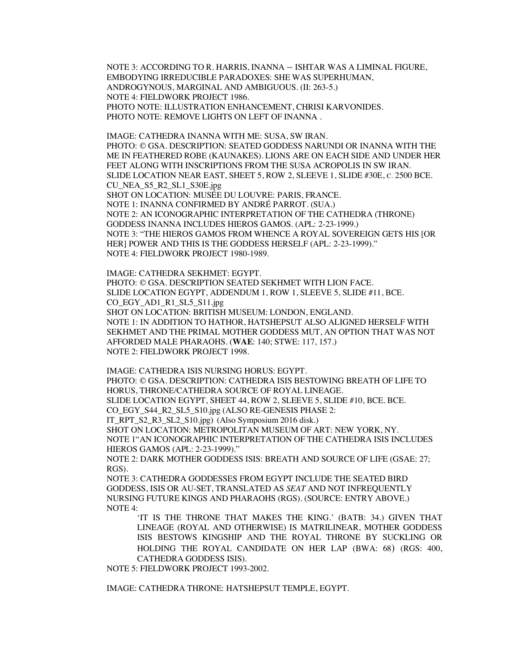NOTE 3: ACCORDING TO R. HARRIS, INANNA – ISHTAR WAS A LIMINAL FIGURE, EMBODYING IRREDUCIBLE PARADOXES: SHE WAS SUPERHUMAN, ANDROGYNOUS, MARGINAL AND AMBIGUOUS. (II: 263-5.) NOTE 4: FIELDWORK PROJECT 1986. PHOTO NOTE: ILLUSTRATION ENHANCEMENT, CHRISI KARVONIDES. PHOTO NOTE: REMOVE LIGHTS ON LEFT OF INANNA.

IMAGE: CATHEDRA INANNA WITH ME: SUSA, SW IRAN. PHOTO: © GSA. DESCRIPTION: SEATED GODDESS NARUNDI OR INANNA WITH THE ME IN FEATHERED ROBE (KAUNAKES). LIONS ARE ON EACH SIDE AND UNDER HER FEET ALONG WITH INSCRIPTIONS FROM THE SUSA ACROPOLIS IN SW IRAN. SLIDE LOCATION NEAR EAST, SHEET 5, ROW 2, SLEEVE 1, SLIDE #30E, C. 2500 BCE. CU\_NEA\_S5\_R2\_SL1\_S30E.jpg SHOT ON LOCATION: MUSÉE DU LOUVRE: PARIS, FRANCE. NOTE 1: INANNA CONFIRMED BY ANDRÉ PARROT. (SUA.) NOTE 2: AN ICONOGRAPHIC INTERPRETATION OF THE CATHEDRA (THRONE) GODDESS INANNA INCLUDES HIEROS GAMOS. (APL: 2-23-1999.) NOTE 3: "THE HIEROS GAMOS FROM WHENCE A ROYAL SOVEREIGN GETS HIS [OR HER] POWER AND THIS IS THE GODDESS HERSELF (APL: 2-23-1999)." NOTE 4: FIELDWORK PROJECT 1980-1989.

IMAGE: CATHEDRA SEKHMET: EGYPT. PHOTO: © GSA. DESCRIPTION SEATED SEKHMET WITH LION FACE. SLIDE LOCATION EGYPT, ADDENDUM 1, ROW 1, SLEEVE 5, SLIDE #11, BCE. CO\_EGY\_AD1\_R1\_SL5\_S11.jpg SHOT ON LOCATION: BRITISH MUSEUM: LONDON, ENGLAND. NOTE 1: IN ADDITION TO HATHOR, HATSHEPSUT ALSO ALIGNED HERSELF WITH SEKHMET AND THE PRIMAL MOTHER GODDESS MUT, AN OPTION THAT WAS NOT AFFORDED MALE PHARAOHS. (**WAE**: 140; STWE: 117, 157.) NOTE 2: FIELDWORK PROJECT 1998.

IMAGE: CATHEDRA ISIS NURSING HORUS: EGYPT. PHOTO: © GSA. DESCRIPTION: CATHEDRA ISIS BESTOWING BREATH OF LIFE TO HORUS, THRONE/CATHEDRA SOURCE OF ROYAL LINEAGE. SLIDE LOCATION EGYPT, SHEET 44, ROW 2, SLEEVE 5, SLIDE #10, BCE. BCE. CO\_EGY\_S44\_R2\_SL5\_S10.jpg (ALSO RE-GENESIS PHASE 2: IT\_RPT\_S2\_R3\_SL2\_S10.jpg) (Also Symposium 2016 disk.) SHOT ON LOCATION: METROPOLITAN MUSEUM OF ART: NEW YORK, NY. NOTE 1"AN ICONOGRAPHIC INTERPRETATION OF THE CATHEDRA ISIS INCLUDES HIEROS GAMOS (APL: 2-23-1999)."

NOTE 2: DARK MOTHER GODDESS ISIS: BREATH AND SOURCE OF LIFE (GSAE: 27; RGS).

NOTE 3: CATHEDRA GODDESSES FROM EGYPT INCLUDE THE SEATED BIRD GODDESS, ISIS OR AU-SET, TRANSLATED AS *SEAT* AND NOT INFREQUENTLY NURSING FUTURE KINGS AND PHARAOHS (RGS). (SOURCE: ENTRY ABOVE.) NOTE 4:

'IT IS THE THRONE THAT MAKES THE KING.' (BATB: 34.) GIVEN THAT LINEAGE (ROYAL AND OTHERWISE) IS MATRILINEAR, MOTHER GODDESS ISIS BESTOWS KINGSHIP AND THE ROYAL THRONE BY SUCKLING OR HOLDING THE ROYAL CANDIDATE ON HER LAP (BWA: 68) (RGS: 400, CATHEDRA GODDESS ISIS).

NOTE 5: FIELDWORK PROJECT 1993-2002.

IMAGE: CATHEDRA THRONE: HATSHEPSUT TEMPLE, EGYPT.